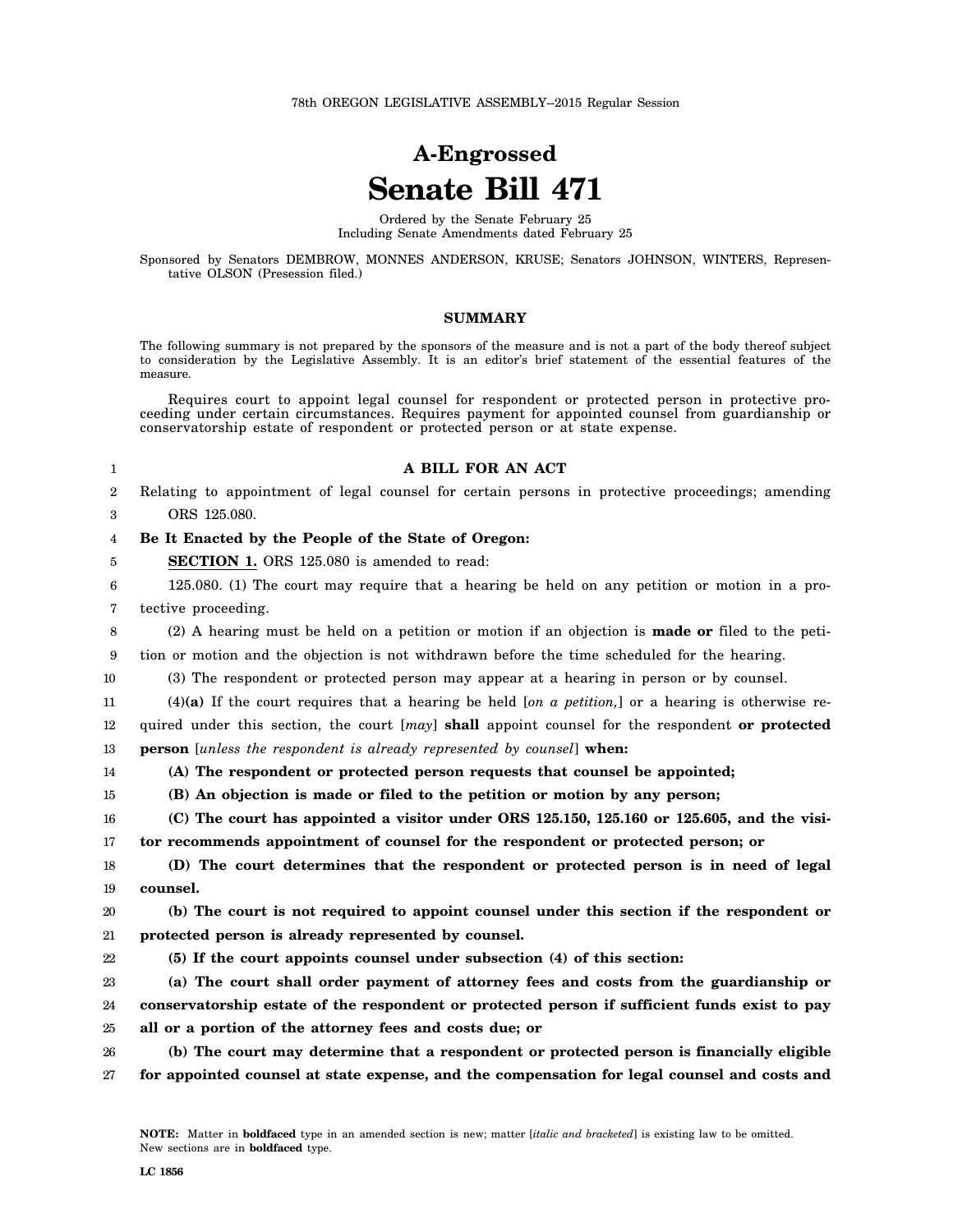78th OREGON LEGISLATIVE ASSEMBLY--2015 Regular Session

# **A-Engrossed Senate Bill 471**

Ordered by the Senate February 25 Including Senate Amendments dated February 25

Sponsored by Senators DEMBROW, MONNES ANDERSON, KRUSE; Senators JOHNSON, WINTERS, Representative OLSON (Presession filed.)

### **SUMMARY**

The following summary is not prepared by the sponsors of the measure and is not a part of the body thereof subject to consideration by the Legislative Assembly. It is an editor's brief statement of the essential features of the measure.

Requires court to appoint legal counsel for respondent or protected person in protective proceeding under certain circumstances. Requires payment for appointed counsel from guardianship or conservatorship estate of respondent or protected person or at state expense.

1

5

### **A BILL FOR AN ACT**

2 3 Relating to appointment of legal counsel for certain persons in protective proceedings; amending ORS 125.080.

### 4 **Be It Enacted by the People of the State of Oregon:**

**SECTION 1.** ORS 125.080 is amended to read:

6 7 125.080. (1) The court may require that a hearing be held on any petition or motion in a protective proceeding.

8 (2) A hearing must be held on a petition or motion if an objection is **made or** filed to the peti-

9 tion or motion and the objection is not withdrawn before the time scheduled for the hearing.

10 (3) The respondent or protected person may appear at a hearing in person or by counsel.

11 (4)**(a)** If the court requires that a hearing be held [*on a petition,*] or a hearing is otherwise re-

12 13 quired under this section, the court [*may*] **shall** appoint counsel for the respondent **or protected person** [*unless the respondent is already represented by counsel*] **when:**

14

**(A) The respondent or protected person requests that counsel be appointed;**

15 **(B) An objection is made or filed to the petition or motion by any person;**

16 17 **(C) The court has appointed a visitor under ORS 125.150, 125.160 or 125.605, and the visitor recommends appointment of counsel for the respondent or protected person; or**

18 19 **(D) The court determines that the respondent or protected person is in need of legal counsel.**

20 21 **(b) The court is not required to appoint counsel under this section if the respondent or protected person is already represented by counsel.**

22 **(5) If the court appoints counsel under subsection (4) of this section:**

23 24 25 **(a) The court shall order payment of attorney fees and costs from the guardianship or conservatorship estate of the respondent or protected person if sufficient funds exist to pay all or a portion of the attorney fees and costs due; or**

26 27 **(b) The court may determine that a respondent or protected person is financially eligible for appointed counsel at state expense, and the compensation for legal counsel and costs and**